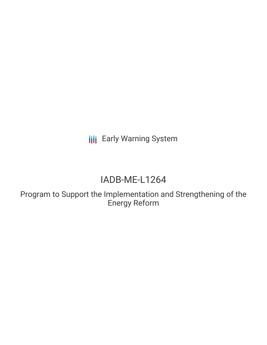**III** Early Warning System

# IADB-ME-L1264

Program to Support the Implementation and Strengthening of the Energy Reform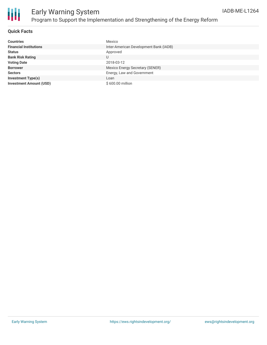

# Early Warning System Program to Support the Implementation and Strengthening of the Energy Reform

#### **Quick Facts**

| <b>Countries</b>               | Mexico                                 |
|--------------------------------|----------------------------------------|
| <b>Financial Institutions</b>  | Inter-American Development Bank (IADB) |
| <b>Status</b>                  | Approved                               |
| <b>Bank Risk Rating</b>        |                                        |
| <b>Voting Date</b>             | 2018-03-12                             |
| <b>Borrower</b>                | Mexico Energy Secretary (SENER)        |
| <b>Sectors</b>                 | Energy, Law and Government             |
| <b>Investment Type(s)</b>      | Loan                                   |
| <b>Investment Amount (USD)</b> | \$600.00 million                       |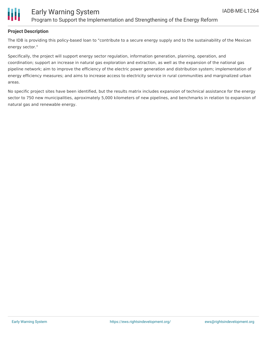

## Early Warning System Program to Support the Implementation and Strengthening of the Energy Reform

#### **Project Description**

The IDB is providing this policy-based loan to "contribute to a secure energy supply and to the sustainability of the Mexican energy sector."

Specifically, the project will support energy sector regulation, information generation, planning, operation, and coordination; support an increase in natural gas exploration and extraction, as well as the expansion of the national gas pipeline network; aim to improve the efficiency of the electric power generation and distribution system; implementation of energy efficiency measures; and aims to increase access to electricity service in rural communities and marginalized urban areas.

No specific project sites have been identified, but the results matrix includes expansion of technical assistance for the energy sector to 750 new municipalities, aproximately 5,000 kilometers of new pipelines, and benchmarks in relation to expansion of natural gas and renewable energy.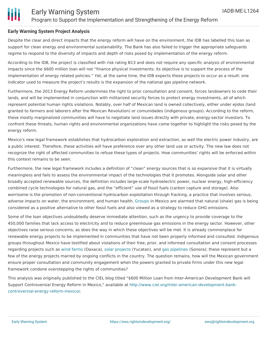### **Early Warning System Project Analysis**

Despite the clear and direct impacts that the energy reform will have on the environment, the IDB has labelled this loan as support for clean energy and environmental sustainability. The Bank has also failed to trigger the appropriate safeguards regime to respond to the diversity of impacts and depth of risks posed by implementation of the energy reform.

According to the IDB, the project is classified with risk rating B13 and does not require any specific analysis of environmental impacts since the \$600 million loan will not "finance physical investments; its objective is to support the process of the implementation of energy related policies." Yet, at the same time, the IDB expects these projects to occur as a result: one indicator used to measure the project's results is the expansion of the national gas pipeline network.

Furthermore, the 2013 Energy Reform undermines the right to prior consultation and consent, forces landowners to cede their lands, and will be implemented in conjunction with militarized security forces to protect energy investments, all of which represent potential human rights violations. Notably, over half of Mexican land is owned collectively, either under ejidos (land granted to farmers and laborers after the Mexican Revolution) or comunidades (indigenous groups). According to the reform, these mostly marginalized communities will have to negotiate land issues directly with private, energy-sector investors. To confront these threats, human rights and environmental organizations have come together to highlight the risks posed by the energy reform.

Mexico's new legal framework establishes that hydrocarbon exploration and extraction, as well the electric power industry, are a public interest. Therefore, these activities will have preference over any other land use or activity. The new law does not recognize the right of affected communities to refuse these types of projects. How communities' rights will be enforced within this context remains to be seen.

Furthermore, the new legal framework includes a definition of "clean" energy sources that is so expansive that it is virtually meaningless and fails to assess the environmental impact of the technologies that it promotes. Alongside solar and other broadly accepted renewable sources, the definition includes large-scale hydroelectric power, nuclear energy, high-efficiency combined cycle technologies for natural gas, and the "efficient" use of fossil fuels (carbon capture and storage). Also worrisome is the promotion of non-conventional hydrocarbon exploitation through fracking, a practice that involves serious, adverse impacts on water, the environment, and human health. [Groups](http://www.nofrackingmexico.org/) in Mexico are alarmed that natural (shale) gas is being considered as a positive alternative to other fossil fuels and also viewed as a strategy to reduce GHG emissions.

Some of the loan objectives undoubtedly deserve immediate attention, such as the urgency to provide coverage to the 450,000 families that lack access to electricity and to reduce greenhouse gas emissions in the energy sector. However, other objectives raise serious concerns, as does the way in which these objectives will be met. It is already commonplace for renewable energy projects to be implemented in communities that have not been properly informed and consulted. Indigenous groups throughout Mexico have testified about violations of their free, prior, and informed consultation and consent processes regarding projects such as wind [farms](http://cencos.com.mx/2018/01/la-scjn-da-fallo-historico-a-favor-de-los-indigenas-de-juchitan-y-en-contra-de-parque-eolico-espanol/) (Oaxaca), solar [projects](http://tbinternet.ohchr.org/_layouts/treatybodyexternal/Download.aspx?symbolno=INT%2fCESCR%2fCSS%2fMEX%2f28743&Lang=en) (Yucatan), and gas [pipelines](https://youtu.be/AjH5xK8Y8TE) (Sonora); these represent but a few of the energy projects marred by ongoing conflicts in the country. The question remains, how will the Mexican government ensure proper consultation and community engagement when the powers granted to private firms under this new legal framework condone overstepping the rights of communities?

This analysis was originally published to the CIEL blog titled "\$600 Million Loan from Inter-American Development Bank will Support Controversial Energy Reform in Mexico," available at [http://www.ciel.org/inter-american-development-bank](http://www.ciel.org/inter-american-development-bank-controversial-energy-reform-mexico/)controversial-energy-reform-mexico/.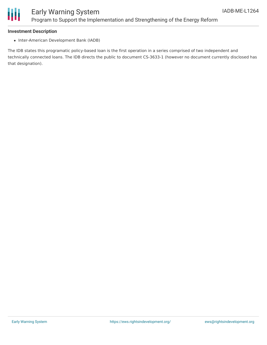

# Early Warning System Program to Support the Implementation and Strengthening of the Energy Reform

#### **Investment Description**

• Inter-American Development Bank (IADB)

The IDB states this programatic policy-based loan is the first operation in a series comprised of two independent and technically connected loans. The IDB directs the public to document CS-3633-1 (however no document currently disclosed has that designation).